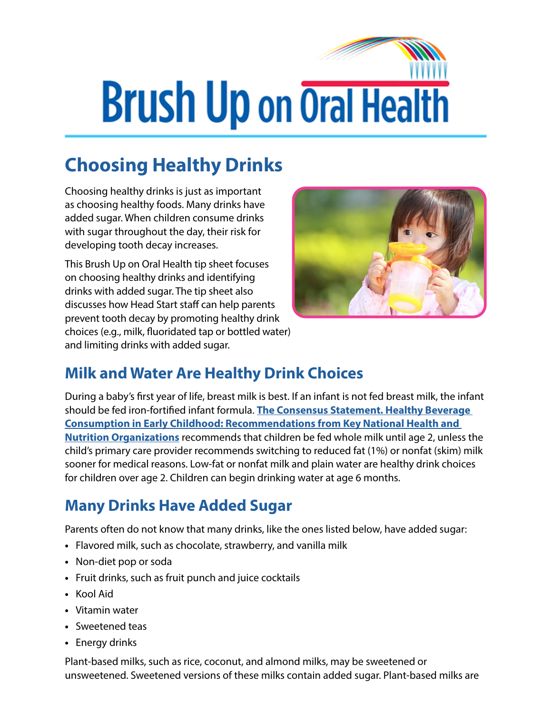# **Brush Up on Oral Health**

## **Choosing Healthy Drinks**

Choosing healthy drinks is just as important as choosing healthy foods. Many drinks have added sugar. When children consume drinks with sugar throughout the day, their risk for developing tooth decay increases.

This Brush Up on Oral Health tip sheet focuses on choosing healthy drinks and identifying drinks with added sugar. The tip sheet also discusses how Head Start staff can help parents prevent tooth decay by promoting healthy drink choices (e.g., milk, fluoridated tap or bottled water) and limiting drinks with added sugar.



#### **Milk and Water Are Healthy Drink Choices**

During a baby's first year of life, breast milk is best. If an infant is not fed breast milk, the infant should be fed iron-fortified infant formula. **[The Consensus Statement. Healthy Beverage](https://healthyeatingresearch.org/research/consensus-statement-healthy-beverage-consumption-in-early-childhood-recommendations-from-key-national-health-and-nutrition-organizations/)  [Consumption in Early Childhood: Recommendations from Key National Health and](https://healthyeatingresearch.org/research/consensus-statement-healthy-beverage-consumption-in-early-childhood-recommendations-from-key-national-health-and-nutrition-organizations/)  [Nutrition Organizations](https://healthyeatingresearch.org/research/consensus-statement-healthy-beverage-consumption-in-early-childhood-recommendations-from-key-national-health-and-nutrition-organizations/)** recommends that children be fed whole milk until age 2, unless the child's primary care provider recommends switching to reduced fat (1%) or nonfat (skim) milk sooner for medical reasons. Low-fat or nonfat milk and plain water are healthy drink choices for children over age 2. Children can begin drinking water at age 6 months.

#### **Many Drinks Have Added Sugar**

Parents often do not know that many drinks, like the ones listed below, have added sugar:

- **•** Flavored milk, such as chocolate, strawberry, and vanilla milk
- **•** Non-diet pop or soda
- **•** Fruit drinks, such as fruit punch and juice cocktails
- **•** Kool Aid
- **•** Vitamin water
- **•** Sweetened teas
- **•** Energy drinks

Plant-based milks, such as rice, coconut, and almond milks, may be sweetened or unsweetened. Sweetened versions of these milks contain added sugar. Plant-based milks are